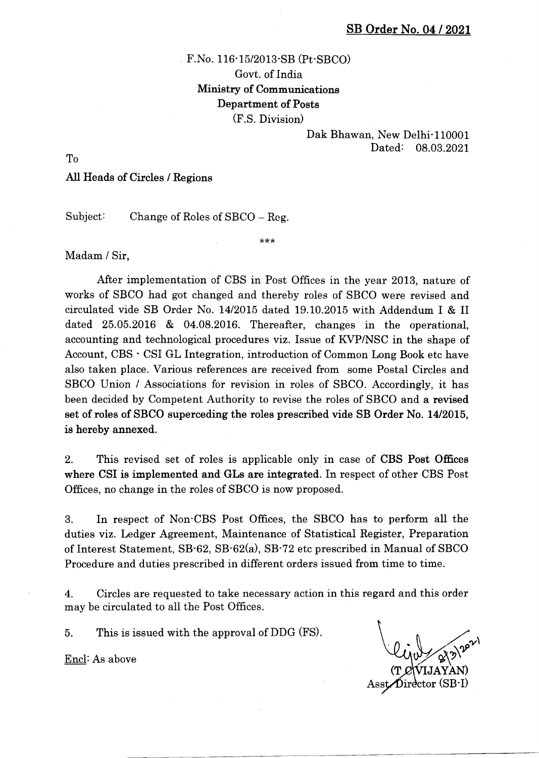# F.No. 116-15/2013-SB (Pt-SBCO) Govt. of India Ministry of Communications Department of Posts  $(F.S. Division)$

## Dak Bhawan, New Delhi<sup>-</sup>110001 Dated: 08.03.2021

To

### All Heads of Circles / Regions

Subject: Change of Roles of SBCO – Reg.

Madam / Sir,

After implementation of CBS in Post Offices in the year 2013, nature of works of SBCO had got changed and thereby roles of SBCO were revised and circulated vide SB Order No. 1412015 dated 19.10.2015 with Addendum I & II dated 25.05.2016 & 04.08.2016. Thereafter, changes in the operational, accounting and technological procedures viz. Issue of KVP/NSC in the shape of Account, CBS ' CSI GL Integration, introduction of Common Long Book etc have also taken place. Various references are received from some Postal Circles and SBCO Union / Associations for revision in roles of SBCO. Accordingly, it has been decided by Competent Authority to revise the roles of SBCO and a revised set of roles of SBCO superceding the roles prescribed vide SB Order No. 1412015, is hereby annexed.

\*\*\*

2. This revised set of roles is applicable only in case of CBS Post Offices where CSI is implemented and GLs are integrated. In respect of other CBS Post Offices, no change in the roles of SBCO is now proposed.

3. In respect of Non'CBS Post Offices, the SBCO has to perform all the duties viz. Ledger Agreement, Maintenance of Statistical Register, Preparation of Interest Statement, 58'62, SB-62(a) , SB'72 etc prescribed in Manual of SBCO Procedure and duties prescribed in different orders issued from time to time.

4. Circles are requested to take necessary action in this regard and this order may be circulated to all the Post Offices.

5. This is issued with the approval of DDG (FS).

Encl:As above

(T Director (SB-I)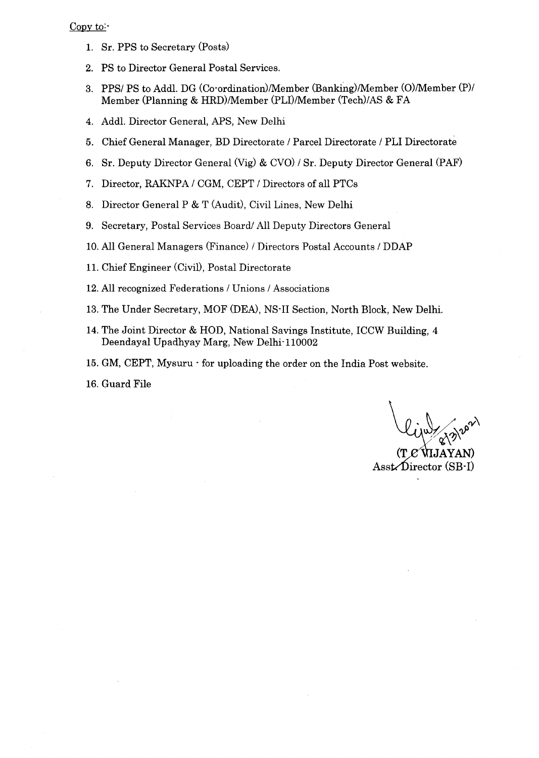### Copy to:

- 1. Sr. PPS to Secretary (Posts)
- 2. PS to Director General Postal Services.
- 3. PPS/ PS to Addl. DG (Co-ordination)/Member (Banking)/Member (O)/Member (P)/ Member (Planning & HRD)/Member (PLI)/Member (Tech)/AS & FA
- 4. Addl. Director General, APS, New Delhi
- 5. Chief General Manager, BD Directorate / Parcel Directorate / PLI Directorate
- 6. Sr. Deputy Director General (Vig) & CVO) / Sr. Deputy Director General (PAF)
- 7. Director, RAKNPA / CGM, CEPT / Directors of all PTCs
- 8. Director General P & T (Audit), Civii Lines, New Delhi
- 9. Secretary, Posta1 Services Board/ All Deputy Directors General
- 10. A11 General Managers (Finance) / Directors Postal Accounts / DDAP
- 11. Chief Engineer (CiviD, Posta1 Directorate
- 12. All recognized Federations / Unions / Associations
- 13. The Under Secretary, MOF (DEA), NS-II Section, North Block, New Delhi.
- 14. The Joint Director & HOD, National Savings Institute, ICCW Building, 4 Deendayal Upadhyay Marg, New Delhi-110002
- 15. GM, CEPT, Mysuru for uploading the order on the India Post website.
- 16. Guard File

(T

Asst. Director (SB-I)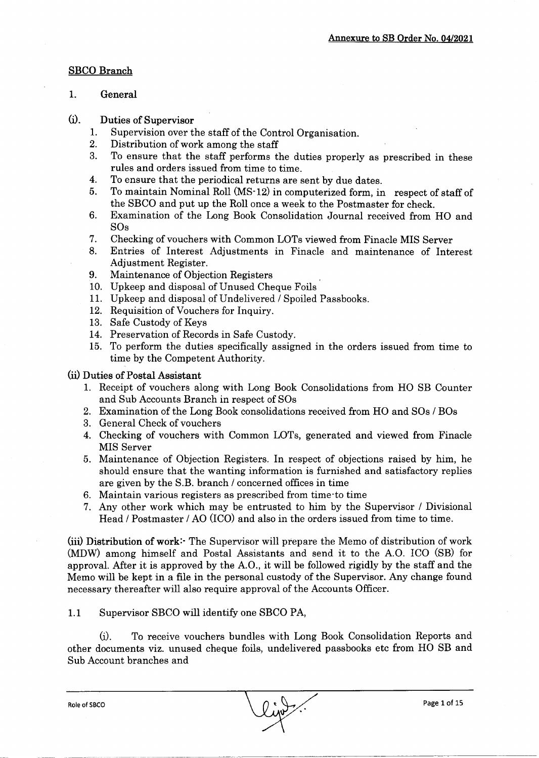## SBCO Branch

- 1. General
- (il. Duties of Supervisor
	- 1. Supervision over the staff of the Control Organisation.
	- 2. Distribution of work among the staff
	- 3. To ensure that the staff performs the duties properly as prescribed in these rules and orders issued from time to time.
	- 4. To ensure that the periodical returns are sent by due dates.
	- 5. To maintain Nominal Roll (MS-12) in computerized form, in respect of staff of the SBCO and put up the RoIl once a week to the Postmaster for check.
	- 6. Examination of the Long Book Consolidation Journal received from HO and SOs
	- 7. Checking of vouchers with Common LOTs viewed from Finacle MIS Server
	- 8. Entries of Interest Adjustments in Finacle and maintenance of Interest Adjustment Register.
	- 9. Maintenance of Objection Registers
	- 10. Upkeep and disposal of Unused Cheque Foils
	- 11. Upkeep and disposal of Undelivered / Spoiled Passbooks.
	- 12. Requisition of Vouchers for Inquiry.
	- 13. Safe Custody of Keys
	- L4. Preservation of Records in Safe Custody.
	- 15. To perform the duties specifically assigned in the orders issued from time to time by the Competent Authority.

(iil Duties of Postal Assistant

- 1. Receipt of vouchers along with Long Book Consolidations from HO SB Counter and Sub Accounts Branch in respect of SOs
- 2. Examination of the Long Book consolidations received from HO and SOs / BOs
- 3. General Check of vouchers
- 4. Checking of vouchers with Common LOTs, generated and viewed from Finacle MIS Server
- 5. Maintenance of Objection Registers. In respect of objections raised by him, he should ensure that the wanting information is furnished and satisfactory replies are given by the S.B. branch / concerned offices in time
- 6. Maintain various registers as prescribed from time-to time
- 7. Any other work which may be entrusted to him by the Supervisor / Divisional Head / Postmaster / AO (ICO) and also in the orders issued from time to time.

(iiil Oistrlbution of work:- The Supervisor will prepare the Memo of distribution of work (MDW) among himself and Postal Assistants and send it to the A.O. ICO (SB) for approval. After it is approved by the A.O., it wilI be followed rigidly by the staff and the Memo wiII be kept in a fiIe in the personal custody of the Supervisor. Any change found necessary thereafter will also require approval of the Accounts Officer.

1.1 Supervisor SBCO will identify one SBCO PA,

(i). To receive vouchers bundles with Long Book Consolidation Reports and other documents viz. unused cheque foils, undelivered passbooks etc from HO SB and Sub Account branches and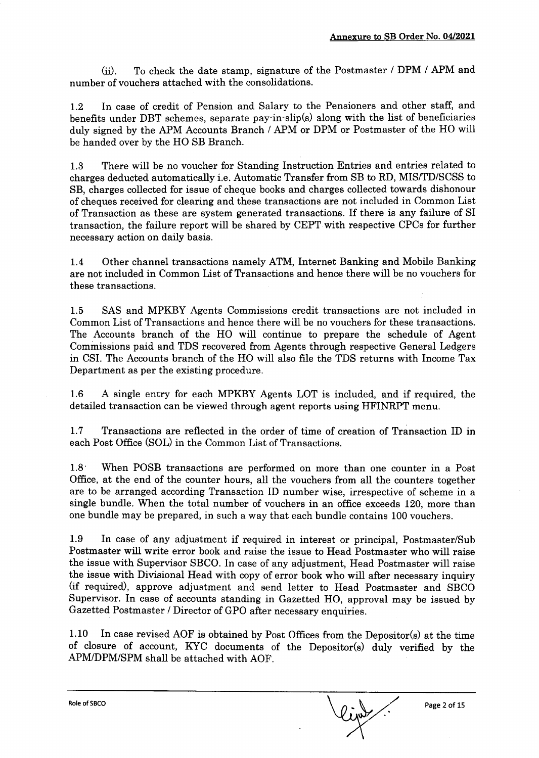(iil. To check the date stamp, signature of the Postmaster / DPM / APM and number of vouchers attached with the consolidations.

L.2 In case of credit of Pension and Salary to the Pensioners and other staff, and benefrts under DBT schemes, separate pay-in-slip(s) along with the list of beneficiaries duly signed by the APM Accounts Branch / APM or DPM or Postmaster of the HO will be handed over by the HO SB Branch.

1.3 There will be no voucher for Standing Instruction Entries and entries related to charges deducted automatically i.e. Automatic Transfer from SB to RD, MISffD/SCSS to SB, charges collected for issue of cheque books and charges collected towards dishonour of cheques received for clearing and these transactions are not included in Common List of Transaction as these are system generated transactions. If there is any failure of SI transaction, the failure report will be shared by CEPT with respective CPCs for further necessary action on daily basis.

L.4 Other channel transactions namely ATM, Internet Banking and Mobile Banking are not included in Common List of Transactions and hence there will be no vouchers for these transactions.

1.5 SAS and MPKBY Agents Commissions credit transactions are not included in Common List of Transactions and hence there will be no vouchers for these transactions. The Accounts branch of the HO will continue to prepare the schedule of Agent Commissions paid and TDS recovered from Agents through respective General Ledgers in CSI. The Accounts branch of the HO will also file the TDS returns with Income Tax Department as per the existing procedure.

1.6 A single entry for each MPKBY Agents LOT is included, and if required, the detailed transaction can be viewed through agent reports using HFINRPT menu.

1.7 Transactions are reflected in the order of time of creation of Transaction ID in each Post Office (SOL) in the Common List of Transactions.

1.8 When POSB transactions are performed on more than one counter in a Post Office, at the end of the counter hours, all the vouchers from all the counters together are to be arranged according Transaction ID number wise, irrespective of scheme in a single bundle. When the total number of vouchers in an office exceeds 120, more than one bundle may be prepared, in such a way that each bundle contains 100 vouchers.

1.9 In case of any adjustment if required in interest or principal, Postmaster/Sub Postmaster will write error book and raise the issue to Head Postmaster who will raise the issue with Supervisor SBCO. In case of any adjustment, Head Postmaster will raise the issue with Divisional Head with copy of error book who will after necessary inquiry (if required), approve adjustment and send letter to Head Postmaster and SBCO Supervisor. In case of accounts standing in Gazetted HO, approval may be issued by Gazetted Postmaster / Director of GPO after necessary enquiries.

1.10 In case revised AOF is obtained by Post Offices from the Depositor(s) at the time of closure of account, KYC documents of the Depositor(s) duly verified by the APMIDPM/SPM shall be attached with AOF.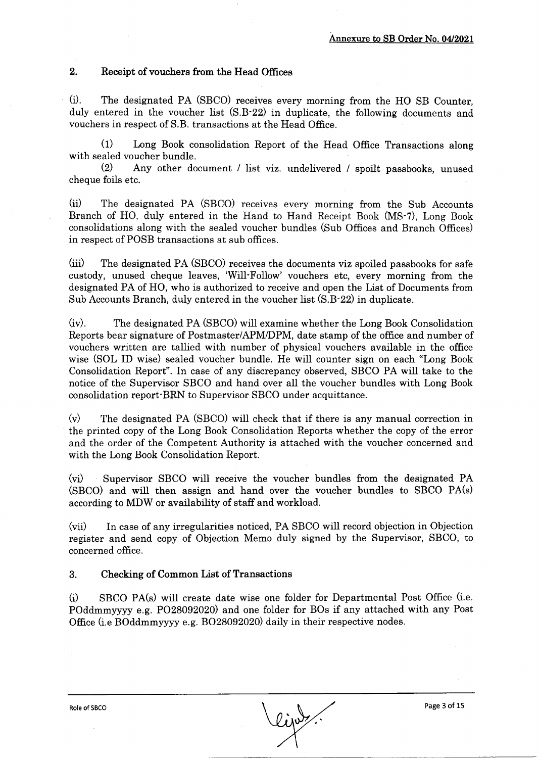#### 2. Receipt of vouchers from the Head Offices

(il. The designated PA (SBCO) receives every morning from the HO SB Counter, duly entered in the voucher list (S.B-22) in duplicate, the following documents and vouchers in respect of S.B. transactions at the Head Office.

(1) Long Book consolidation Report of the Head Office Transactions along with sealed voucher bundle.

e) Any other document / list viz. undelivered / spoilt passbooks, unused cheque foils etc.

(iil The designated PA (SBCO) receives every morning from the Sub Accounts Branch of HO, duly entered in the Hand to Hand Receipt Book (MS'7), Long Book consolidations along with the sealed voucher bundles (Sub Offices and Branch Offices) in respect of POSB transactions at sub offices.

(iiil The designated PA (SBCO) receives the documents viz spoiled passbooks for safe custody, unused cheque leaves, 'Will-Follow' vouchers etc, every morning from the designated PA of HO, who is authorized to receive and open the List of Documents from Sub Accounts Branch, duly entered in the voucher list (S.B-22) in duplicate.

(iv). The designated PA (SBCO) will examine whether the Long Book Consolidation Reports bear signature of Postmaster/APM/DPM, date stamp of the office and number of vouchers written are tallied with number of physical vouchers available in the office wise (SOL ID wise) sealed voucher bundle. He wiII counter sign on each "Long Book Consolidation Report". In case of any discrepancy observed, SBCO PA will take to the notice of the Supervisor SBCO and hand over all the voucher bundles with Long Book consolidation report-BRN to Supervisor SBCO under acquittance.

(v) The designated PA (SBCO) will check that if there is any manual correction in the printed copy of the Long Book Consolidation Reports whether the copy of the error and the order of the Competent Authority is attached with the voucher concerned and with the Long Book Consolidation Report.

(vil Supervisor SBCO wilI receive the voucher bundles from the designated PA (SBCO) and will then assign and hand over the voucher bundles to SBCO PA(s) according to MDW or availability of staff and workload.

(vii) In case of any irregularities noticed, PA SBCO will record objection in Objection register and send copy of Objection Memo duly signed by the Supervisor, SBCO, to concerned office.

#### 3. Checking of Common List of Transactions

 $(i)$  SBCO PA $(s)$  will create date wise one folder for Departmental Post Office (i.e. POddmmyyyy e.g. PO2809202O and one folder for BOs if any attached with any Post Office (i.e Boddmmyyyy e.g. BO2809202O daily in their respective nodes.

Role of SBCO Page 3 of 15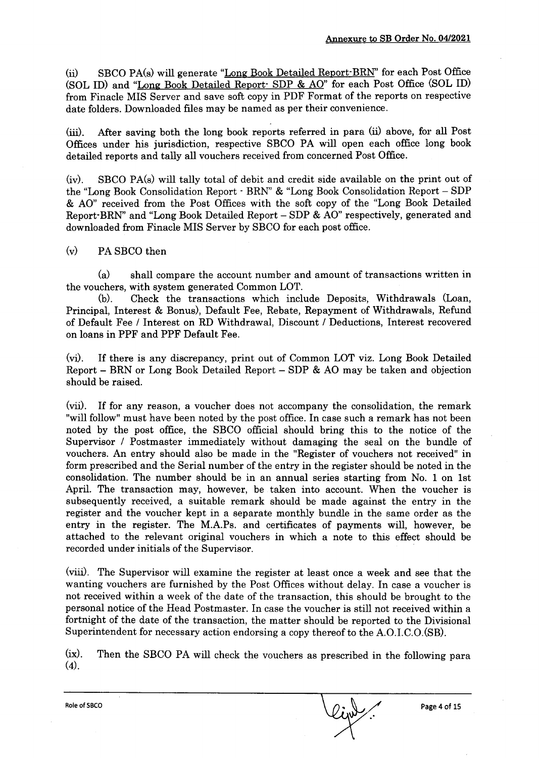(ii) SBCO PA(s) will generate "Long Book Detailed Report BRN" for each Post Office (SOL ID) and "Long Book Detailed Report: SDP & AO" for each Post Office (SOL ID) from Finacle MIS Server and save soft copy in PDF Format of the reports on respective date folders. Downloaded files may be named as per their convenience.

(iii). After saving both the long book reports referred in para (ii) above, for all Post Offices under his jurisdiction, respective SBCO PA will open each office long book detailed reports and tally all vouchers received from concerned Post Office.

(iv). SBCO PA(s) will tally total of debit and credit side available on the print out of the "Long Book Consolidation Report - BRN" & "Long Book Consolidation Report - SDP & AO" received from the Post Offices with the soft copy of the "Long Book Detailed Report'BRN" and "Long Book Detailed Report - SDP & AO" respectively, generated and downloaded from Finacle MIS Server by SBCO for each post office.

## (v) PA SBCO then

 $(a)$  shall compare the account number and amount of transactions written in

the vouchers, with system generated Common LOT. (b). Check the transactions which include Deposits, Withdrawals (Loan, Principal, Interest & Bonus), Default Fee, Rebate, Repayment of Withdrawals, Refund of Default Fee / Interest on RD Withdrawal, Discount / Deductions, Interest recovered on loans in PPF and PPF Default Fee.

(vi). If there is any discrepancy, print out of Common LOT viz. Long Book Detailed Report - BRN or Long Book Detailed Report - SDP & AO may be taken and objection should be raised.

(vii). If for any reason, a voucher does not accompany the consolidation, the remark "will follow" must have been noted by the post office. In case such a remark has not been noted by the post office, the SBCO official should bring this to the notice of the Supervisor / Postmaster immediately without damaging the seal on the bundle of vouchers. An entry should also be made in the "Register of vouchers not received" in form prescribed and the Serial number of the entry in the register should be noted in the consolidation. The number should be in an annual series starting from No. 1 on lst April. The transaction may, however, be taken into account. When the voucher is subsequently received, a suitable remark should be made against the entry in the register and the voucher kept in a separate monthly bundle in the same order as the entry in the register. The M.A.Ps. and certificates of payments will, however, be attached to the relevant original vouchers in which a note to this effect should be recorded under initials of the Supervisor.

(viiil. The Supervisor will examine the register at least once a week and see that the wanting vouchers are furnished by the Post Offices without delay. In case a voucher is not received within a week of the date of the transaction, this should be brought to the personal notice of the Head Postmaster. In case the voucher is still not received within <sup>a</sup> fortnight of the date of the transaction, the matter should be reported to the Divisional Superintendent for necessary action endorsing a copy thereof to the A.O.I.C.O.(SB).

(ix). Then the SBCO PA will check the vouchers as prescribed in the following para  $(4).$ 

Role of SBCO Page 4 of 15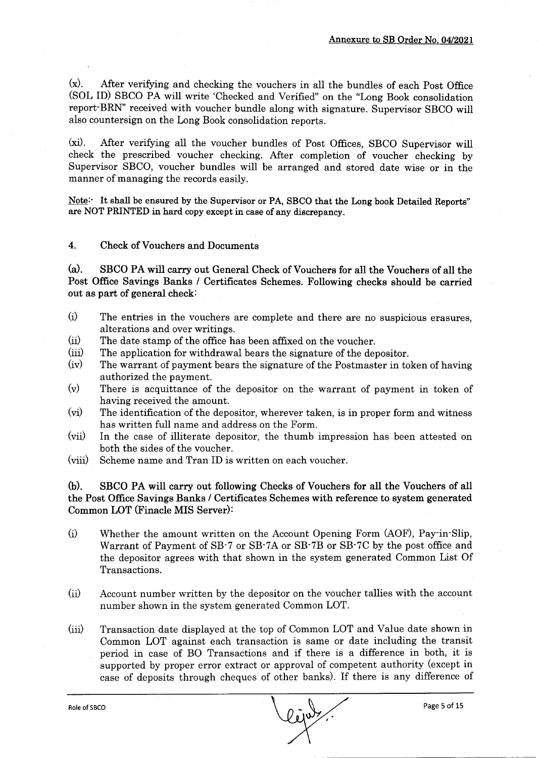(x). After verifying and checking the vouchers in all the bundles of each Post Office (SOL ID) SBCO PA will write 'Checked and Verified" on the "Long Book consolidation report-BRN" received with voucher bundle along with signature. Supervisor SBCO will also countersign on the Long Book consolidation reports.

(xi). After verifying all the voucher bundles of Post Offices, SBCO Supervisor will check the prescribed voucher checking. After completion of voucher checking by Supervisor SBCO, voucher bundles will be arranged and stored date wise or in the manner of managing the records easily.

Note: It shall be ensured by the Supervisor or PA, SBCO that the Long book Detailed Reports" are NOT PRINTED in hard copy except in case of any discrepancy.

#### 4. Check of Vouchers and Documents

(d. SBCO PA will carry out General Check of Vouchers for all the Vouchers of all the Post Office Savings Banks / Certificates Schemes. Following checks should be carried out as part of general check:

- (i) The entries in the vouchers are complete and there are no suspicious erasures, alterations and over writings.
- (ii)<br>(iii) The date stamp of the office has been affixed on the voucher.
- The application for withdrawal bears the signature of the depositor.
- $(iv)$ The warrant of payment bears the signature of the Postmaster in token of having authorized the payment.
- $(v)$ There is acquittance of the depositor on the warrant of payment in token of having received the amount.
- $(vi)$ The identification of the depositor, wherever taken, is in proper form and witness has written full name and address on the Form.
- (vii) In the case of illiterate depositor, the thumb impression has been attested on both the sides of the voucher.
- (viii) Scheme name and Tran ID is written on each voucher.

6). SBCO PA will carry out following Checks of Vouchers for all the Vouchers of all the Post Offrce Savings Banks / Certificates Schemes with reference to system generated Common LOT (Finacle MIS Server):

- $(i)$ Whether the amount written on the Account Opening Form (AOF), Pay-in-Slip, Warrant of Payment of SB-7 or SB'7A or SB-78 or SB-7C by the post office and the depositor agrees with that shown in the system generated Common List Of Transactions.
- (ii) Account number written by the depositor on the voucher tallies with the account number shown in the system generated Common LOT.
- (lii) Transaction date displayed at the top of Common LOT and Value date shown in Common LOT against each transaction is same or date including the transit period in case of BO Transactions and if there is a difference in both, it is supported by proper error extract or approval of competent authority (except in case of deposits through cheques of other banks). If there is any difference of

Role of SBCO Page 5 of 15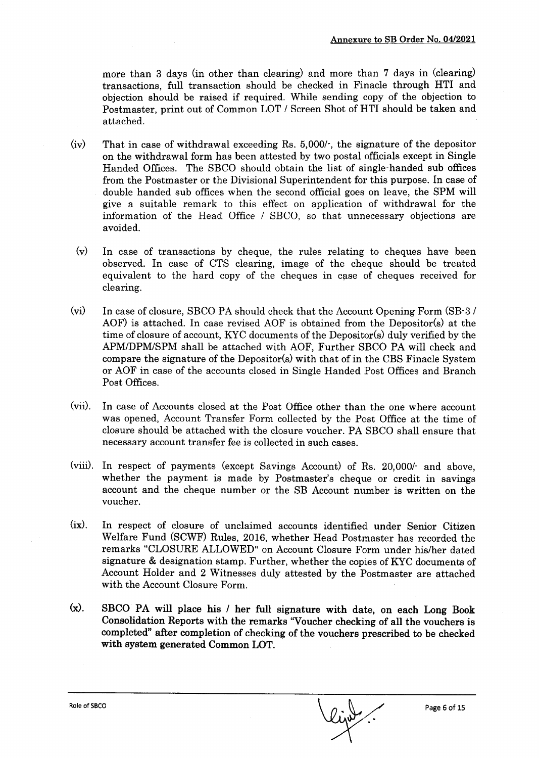more than 3 days (in other than clearing) and more than 7 days in (clearing) transactions, fuII transaction should be checked in Finacle through HTI and objection should be raised if required. While sending copy of the objection to Postmaster, print out of Common LOT / Screen Shot of HTI should be taken and attached.

- (iv) That in case of withdrawal exceeding Rs. 5,000/-, the signature of the depositor on the withdrawal form has been attested by two postal officials except in Single Handed Offices. The SBCO should obtain the list of single-handed sub offices from the Postmaster or the Divisional Superintendent for this purpose. In case of double handed sub offices when the second official goes on leave, the SPM will give a suitable remark to this effect on application of withdrawal for the information of the Head Office / SBCO, so that unnecessary objections are avoided.
- $(v)$  In case of transactions by cheque, the rules relating to cheques have been observed. In case of CTS clearing, image of the cheque should be treated equivalent to the hard copy of the cheques in case of cheques received for clearing.
- (vi) In case of closure, SBCO PA should check that the Account Opening Form (SB-3) AOF) is attached. In case revised AOF is obtained from the Depositor(s) at the time of closure of account, KYC documents of the Depositor(s) duly verified by the APMIDPM/SPM shall be attached with AOF, Further SBCO PA will check and compare the signature of the Depositor(s) with that of in the CBS Finacle System or AOF in case of the accounts closed in Single Handed Post Offices and Branch Post Offices.
- (vii). In case of Accounts closed at the Post Office other than the one where account was opened, Account Transfer Form collected by the Post Office at the time of closure should be attached with the closure voucher. PA SBCO shall ensure that necessary account transfer fee is collected in such cases.
- (viiil. In respect of payments (except Savings Account) of Rs. 20,000/- and above, whether the payment is made by Postmaster's cheque or credit in savings account and the cheque number or the SB Account number is written on the voucher.
- (ix). In respect of closure of unclaimed accounts identified under Senior Citizen Welfare Fund (SCWF) Rules, 2016, whether Head Postmaster has recorded the remarks "CLOSURE ALLOWED" on Account Closure Form under his/her dated signature & designation stamp. Further, whether the copies of KYC documents of Account Holder and 2 Witnesses duly attested by the Postmaster are attached with the Account Closure Form.
- $(x)$ . SBCO PA will place his / her full signature with date, on each Long Book Consolidation Reports with the remarks "Voucher checking of all the vouchers is completed" after completion of checking of the vouchers prescribed to be checked with system generated Common LOT.

Role of SBCO Page 6 of 15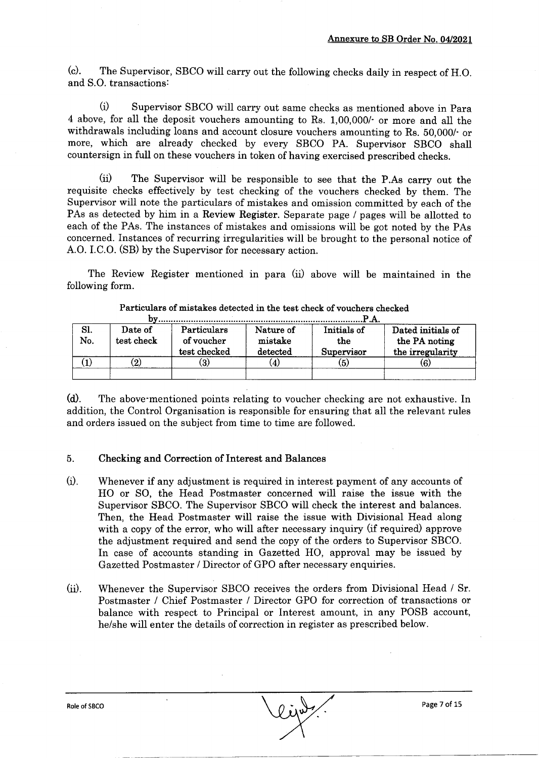(c). The Supervisor, SBCO will carry out the following checks daily in respect of H.O. and S.O. transactions:

(i) Supervisor SBCO will carry out same checks as mentioned above in Para 4 above, for all the deposit vouchers amounting to Rs. 1,00,000/' or more and all the withdrawals including loans and account closure vouchers amounting to Rs. 50,000/- or more, which are already checked by every SBCO PA. Supervisor SBCO shall countersign in full on these vouchers in token of having exercised prescribed checks.

(iil The Supervisor will be responsible to see that the P.As carry out the requisite checks effectively by test checking of the vouchers checked by them. The Supervisor will note the particulars of mistakes and omission committed by each of the PAs as detected by him in a Review Register. Separate page / pages will be allotted to each of the PAs. The instances of mistakes and omissions will be got noted by the PAs concerned. Instances of recurring irregularities will be brought to the personal notice of A.O. I.C.O. (SB) by the Supervisor for necessary action.

The Review Register mentioned in para (ii) above will be maintained in the following form.

| Sl.<br>No. | Date of<br>test check | Particulars<br>of voucher<br>test checked | Nature of<br>mistake<br>detected | Initials of<br>the<br>Supervisor | Dated initials of<br>the PA noting<br>the irregularity |  |  |  |
|------------|-----------------------|-------------------------------------------|----------------------------------|----------------------------------|--------------------------------------------------------|--|--|--|
|            | $\bf(2)$              | (3)                                       |                                  | (5)                              | 6)                                                     |  |  |  |
|            |                       |                                           |                                  |                                  |                                                        |  |  |  |

#### Particulars of mistakes detected in the test check of vouchers checked

(d). The above mentioned points relating to voucher checking are not exhaustive. In addition, the Control Organisation is responsible for ensuring that all the relevant rules and orders issued on the subject from time to time are followed.

#### Checking and Correction of Interest and Balances 5.

- Whenever if any adjustment is required in interest payment of any accounts of HO or SO, the Head Postmaster concerned will raise the issue with the Supervisor SBCO. The Supervisor SBCO will check the interest and balances. Then, the Head Postmaster will raise the issue with Divisional Head along with a copy of the error, who will after necessary inquiry (if required) approve the adjustment required and send the copy of the orders to Supervisor SBCO. In case of accounts standing in Gazetted HO, approval may be issued by Gazetted Postmaster / Director of GPO after necessary enquiries.  $(i)$ .
- (ii). Whenever the Supervisor SBCO receives the orders from Divisional Head  $/$  Sr. Postmaster / Chief Postmaster / Director GPO for correction of transactions or balance with respect to Principal or Interest amount, in any POSB account, he/she will enter the details of correction in register as prescribed below.

Role of SBCO Page 7 of 15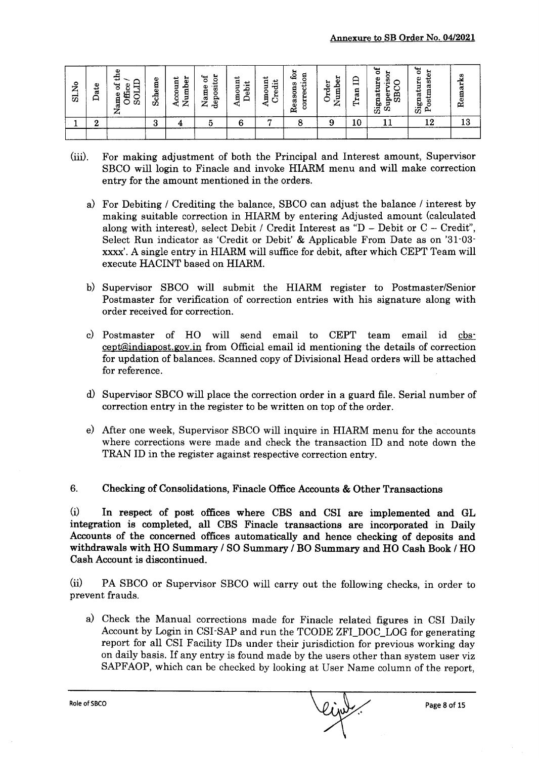| ž<br>ವ | Φ<br>ਫ਼ਿ<br>∽<br>⊢ | Φ<br>퓓<br>Ę<br>`ಕ<br>Office<br>5OI<br>Φ<br><b>Algreq</b><br>ᄼ | Scheme | 5<br>ccount<br>≏<br>百<br>ウリー<br>ю.<br>∼ | epositor<br>'ಕ<br>Vame<br>ರ<br>∼ | ↵<br>Ë<br>ebit<br>٥<br>Ē | ى<br>hredit<br>g<br>ã    | යු<br>ទី<br>ਦੁੰ<br>Reasons<br>corre | H<br>Jumbe<br>rder<br>–<br>r | 白<br>Tran | 'ಕ<br>ы<br>c<br>gan<br>Ō)<br>. .<br>Signatu<br>ы<br>Š<br>o<br>Sup | `ಕ<br>붑<br>Signature<br>ast<br>ន<br>Postr | rks<br>55<br>g<br>≃ |
|--------|--------------------|---------------------------------------------------------------|--------|-----------------------------------------|----------------------------------|--------------------------|--------------------------|-------------------------------------|------------------------------|-----------|-------------------------------------------------------------------|-------------------------------------------|---------------------|
|        | ີ<br>u             |                                                               | റ<br>O |                                         |                                  | G                        | $\overline{\phantom{a}}$ |                                     | Ω<br>оZ                      | 10        |                                                                   | 12                                        |                     |
|        |                    |                                                               |        |                                         |                                  |                          |                          |                                     |                              |           |                                                                   |                                           |                     |

- (iii). For making adjustment of both the Principal and Interest amount, Supervisor SBCO will login to Finacle and invoke HIARM menu and will make correction entry for the amount mentioned in the orders.
	- a) For Debiting / Crediting the balance, SBCO can adjust the balance / interest by making suitable correction in HIARM by entering Adjusted amount (calculated along with interest), select Debit / Credit Interest as "D - Debit or  $C$  - Credit", Select Run indicator as 'Credit or Debit' & Applicable From Date as on '31-03 xxxx'. A single entry in HIARM will suffice for debit, after which CEPT Team will execute HACINT based on HIARM.
	- b) Supervisor SBCO will submit the HIARM register to Postmaster/Senior Postmaster for verification of correction entries with his signature along with order received for correction.
	- c) Postmaster of HO will send email to CEPT team email id cbs' cept@indiapost.gov.in from Official email id mentioning the details of correction for updation of balances. Scanned copy of Divisional Head orders will be attached for reference.
	- 0 Supervisor SBCO will place the correction order in a guard file. Serial number of correction entry in the register to be written on top of the order.
	- e) After one week, Supervisor SBCO wili inquire in HIARM menu for the accounts where corrections were made and check the transaction ID and note down the TRAN ID in the register against respective correction entry.

6. Checking of Consolidations, Finacle Office Accounts & Other Transactions

 $(i)$  In respect of post offices where CBS and CSI are implemented and GL integration is completed, all CBS Finacle transactions are incorporated in Daily Accounts of the concerned offrces automatically and hence checking of deposits and withdrawals with HO Summary / SO Summary / BO Summary and HO Cash Book / HO Cash Account is discontinued.

(ii) PA SBCO or Supervisor SBCO will carry out the following checks, in order to prevent frauds.

a) Check the Manual corrections made for Finacle related figures in CSI Daily Account by Login in CSI-SAP and run the TCODE ZFI\_DOC-LOG for generating report for all CSI Facility IDs under their jurisdiction for previous working day on daily basis. If any entry is found made by the users other than system user viz SAPFAOP, which can be checked by looking at User Name column of the report,

Role of SBCO Page 8 of 15